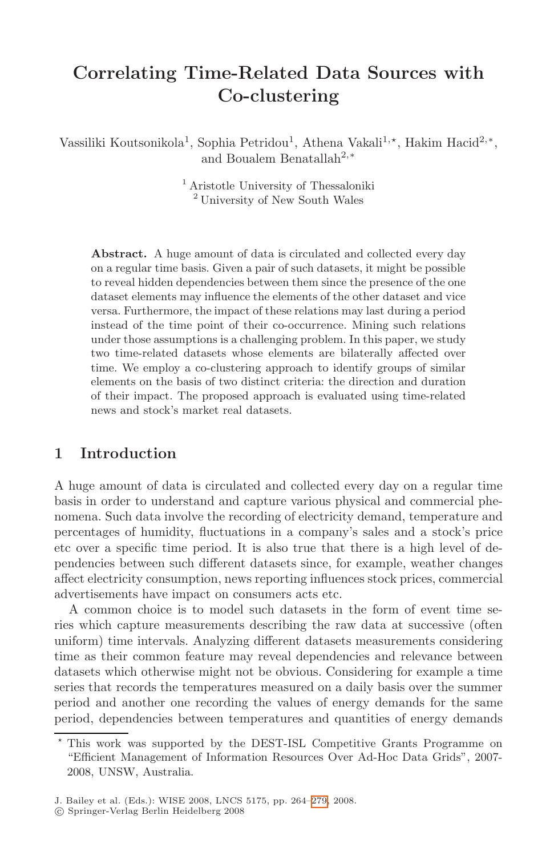# **Correlating Time-Related Data Sources with Co-clustering**

Vassiliki Koutsonikola<sup>1</sup>, Sophia Petridou<sup>1</sup>, Athena Vakali<sup>1,\*</sup>, Hakim Hacid<sup>2,\*</sup>, and Boualem Benatallah<sup>2</sup>,<sup>∗</sup>

> <sup>1</sup> Aristotle University of Thessaloniki <sup>2</sup> University of New South Wales

**Abstract.** A huge amount of data is circulated and collected every day on a regular time basis. Given a pair of such datasets, it might be possible to reveal hidden dependencies between them since the presence of the one dataset elements may influence the elements of the other dataset and vice versa. Furthermore, the impact of these relations may last during a period instead of the time point of their co-occurrence. Mining such relations under those assumptions is a challenging problem. In this paper, we study two time-related datasets whose elements are bilaterally affected over time. We employ a co-clustering approach to identify groups of similar elements on the basis of two distinct criteria: the direction and duration of their impact. The proposed approach is evaluated using time-related news and stock's market real datasets.

### **1 Introduction**

A huge amount of data is circulated and collected every day on a regular time basis in order to understand and capture various physical and commercial phenomena. Such data involve the recording of electricity demand, temperature and percentages of humidity, fluctuations in a company's sales and a stock's price etc over a specific time period. It is also true that there is a high level of dependencies between such different datasets since, for example, weather changes affect electricity consumption, news reporting influences stock prices, commercial advertisements have impact on consumers acts etc.

A common choice is to model such datasets in the form of event time series which capture measurements describing the raw data at successive (often uniform) time intervals. Analyzing different datasets measurements considering time as their common feature may reveal dependencies and relevance between datasets which otherwise might not be obvious. Considering for example a time series that records the tem[per](#page-15-0)atures measured on a daily basis over the summer period and another one recording the values of energy demands for the same period, dependencies between temperatures and quantities of energy demands

 $\star$  This work was supported by the DEST-ISL Competitive Grants Programme on "Efficient Management of Information Resources Over Ad-Hoc Data Grids", 2007- 2008, UNSW, Australia.

J. Bailey et al. (Eds.): WISE 2008, LNCS 5175, pp. 264–279, 2008.

c Springer-Verlag Berlin Heidelberg 2008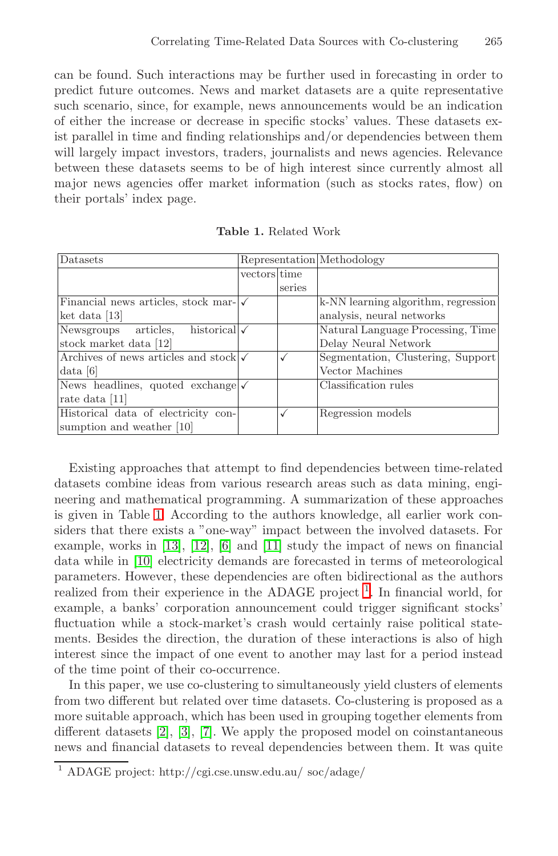can be found. Such interactions may be further used in forecasting in order to predict future outcomes. News and market datasets are a quite representative such scenario, since, for example, news announcements would be an indication of either the increase or decrease in specific stocks' values. These datasets exist parallel in time and finding relationships and/or dependencies between them will largely impact investors, traders, journalists and news agencies. Relevance between these datasets seems to be of high interest since currently almost all major news agencies offer market information (such as stocks rates, flow) on their portals' index page.

| Datasets                                         | Representation Methodology |              |                                     |  |  |
|--------------------------------------------------|----------------------------|--------------|-------------------------------------|--|--|
|                                                  | vectors time               |              |                                     |  |  |
|                                                  |                            | series       |                                     |  |  |
| Financial news articles, stock mar- $\sqrt{\ }$  |                            |              | k-NN learning algorithm, regression |  |  |
| ket data $[13]$                                  |                            |              | analysis, neural networks           |  |  |
| historical $\checkmark$<br>Newsgroups articles,  |                            |              | Natural Language Processing, Time   |  |  |
| stock market data [12]                           |                            |              | Delay Neural Network                |  |  |
| Archives of news articles and stock $\checkmark$ |                            |              | Segmentation, Clustering, Support   |  |  |
| data [6]                                         |                            |              | Vector Machines                     |  |  |
| News headlines, quoted exchange $\checkmark$     |                            |              | Classification rules                |  |  |
| rate data [11]                                   |                            |              |                                     |  |  |
| Historical data of electricity con-              |                            | $\checkmark$ | Regression models                   |  |  |
| sumption and weather [10]                        |                            |              |                                     |  |  |

| <b>Table 1. Related Work</b> |  |  |
|------------------------------|--|--|
|------------------------------|--|--|

Existing approaches that attemp[t](#page-1-0) to find dependencies between time-related datasets combine ideas from various research areas such as data mining, engineering and mathematical programming. A summarization of these approaches is given in Table 1. According to the authors knowledge, all earlier work considers that there exists a "one-way" impact between the involved datasets. For example, works in [13], [12], [6] and [11] study the impact of news on financial data while in [10] electricity demands are forecasted in terms of meteorological parameters. However, these dependencies are often bidirectional as the authors realized from their experience in the ADAGE project  $<sup>1</sup>$ . In financial world, for</sup> [ex](#page-14-2)[am](#page-14-3)p[le,](#page-14-4) a banks' corporation announcement could trigger significant stocks' fluctuation while a stock-market's crash would certainly raise political statements. Besides the direction, the duration of these interactions is also of high interest since the impact of one event to another may last for a period instead of the time point of their co-occurrence.

<span id="page-1-0"></span>In this paper, we use co-clustering to simultaneously yield clusters of elements from two different but related over time datasets. Co-clustering is proposed as a more suitable approach, which has been used in grouping together elements from different datasets [2], [3], [7]. We apply the proposed model on coinstantaneous news and financial datasets to reveal dependencies between them. It was quite

<sup>1</sup> ADAGE project: http://cgi.cse.unsw.edu.au/ soc/adage/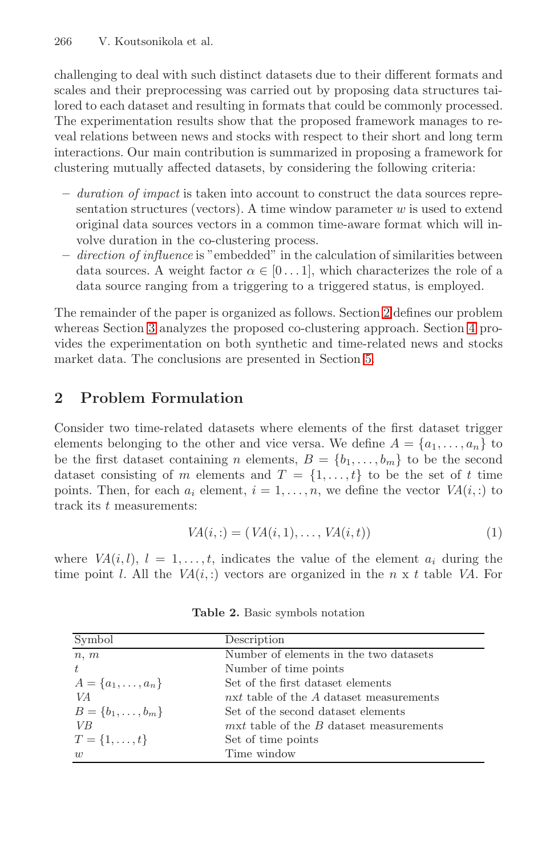challenging to deal with such distinct datasets due to their different formats and scales and their preprocessing was carried out by proposing data structures tailored to each dataset and resulting in formats that could be commonly processed. The experimentation results show that the proposed framework manages to reveal relations between news and stocks with respect to their short and long term interactions. Our main contribution is summarized in proposing a framework for clustering mutually affected datasets, by considering the following criteria:

- **–** duration of impact is taken into acc[ou](#page-2-0)nt to construct the data sources representation structures (vectors). A ti[m](#page-9-0)e window parameter  $w$  is used to extend original data sources vectors in a common time-aware format which will involve duration in the co-cluster[ing](#page-14-5) process.
- **–** direction of influence is "embedded" in the calculation of similarities between data sources. A weight factor  $\alpha \in [0 \dots 1]$ , which characterizes the role of a data source ranging from a triggering to a triggered status, is employed.

<span id="page-2-0"></span>The remainder of the paper is organized as follows. Section 2 defines our problem whereas Section 3 analyzes the proposed co-clustering approach. Section 4 provides the experimentation on both synthetic and time-related news and stocks market data. The conclusions are presented in Section 5.

# <span id="page-2-1"></span>**2 Problem Formulation**

Consider two time-related datasets where elements of the first dataset trigger elements belonging to the other and vice versa. We define  $A = \{a_1, \ldots, a_n\}$  to be the first dataset containing n elements,  $B = \{b_1, \ldots, b_m\}$  to be the second dataset consisting of m elements and  $T = \{1, \ldots, t\}$  to be the set of t time points. Then, for each  $a_i$  element,  $i = 1, \ldots, n$ , we define the vector  $VA(i, :)$  to track its t measurements:

$$
VA(i, :) = (VA(i, 1), \dots, VA(i, t))
$$
\n(1)

where  $VA(i, l), l = 1, \ldots, t$ , indicates the value of the element  $a_i$  during the time point *l*. All the  $VA(i,:)$  vectors are organized in the n x t table VA. For

| Symbol                     | Description                                 |
|----------------------------|---------------------------------------------|
| n, m                       | Number of elements in the two datasets      |
|                            | Number of time points                       |
| $A = \{a_1, \ldots, a_n\}$ | Set of the first dataset elements           |
| VA                         | $nxt$ table of the A dataset measurements   |
| $B = \{b_1, \ldots, b_m\}$ | Set of the second dataset elements          |
| VB                         | $mxt$ table of the $B$ dataset measurements |
| $T = \{1, \ldots, t\}$     | Set of time points                          |
| $\overline{w}$             | Time window                                 |

**Table 2.** Basic symbols notation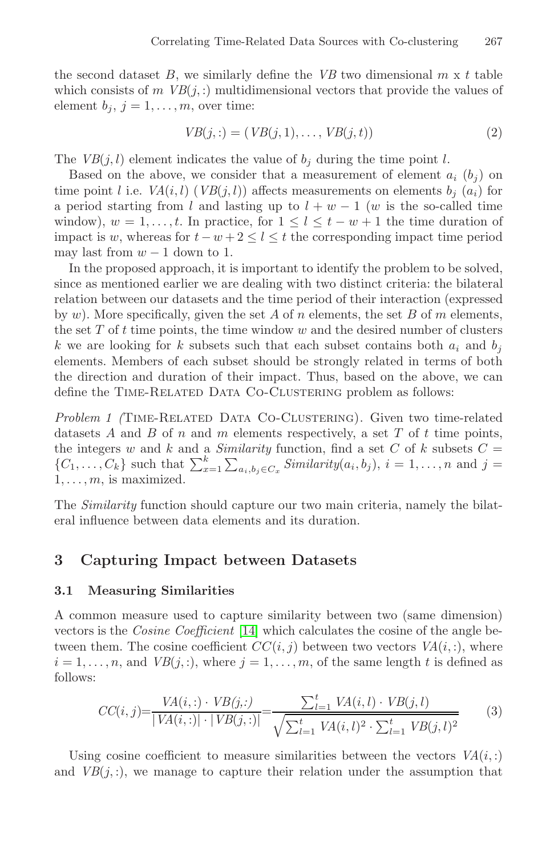<span id="page-3-2"></span>the second dataset B, we similarly define the VB two dimensional  $m \times t$  table which consists of m  $VB(j,:)$  multidimensional vectors that provide the values of element  $b_j$ ,  $j = 1, \ldots, m$ , over time:

$$
VB(j,:) = (VB(j, 1), \dots, VB(j, t))
$$
\n(2)

The  $VB(j, l)$  element indicates the value of  $b_j$  during the time point l.

Based on the above, we consider that a measurement of element  $a_i$   $(b_i)$  on time point l i.e.  $VA(i, l)$  ( $VB(j, l)$ ) affects measurements on elements  $b_i(a_i)$  for a period starting from l and lasting up to  $l + w - 1$  (w is the so-called time window),  $w = 1, \ldots, t$ . In practice, for  $1 \leq l \leq t - w + 1$  the time duration of impact is w, whereas for  $t - w + 2 \leq l \leq t$  the corresponding impact time period may last from  $w - 1$  down to 1.

<span id="page-3-1"></span>In the proposed approach, it is important to identify the problem to be solved, since as mentioned earlier we are dealing with two distinct criteria: the bilateral relation between our datasets and the time period of their interaction (expressed by w). More specifically, given the set A of n elements, the set B of m elements, the set  $T$  of  $t$  time points, the time window  $w$  and the desired number of clusters k we are looking for k subsets such that each subset contains both  $a_i$  and  $b_i$ elements. Members of each subset should be strongly related in terms of both the direction and duration of their impact. Thus, based on the above, we can define the TIME-RELATED DATA CO-CLUSTERING problem as follows:

Problem 1 (TIME-RELATED DATA CO-CLUSTERING). Given two time-related datasets A and B of n and m elements respectively, a set T of t time points, the integers w and k and a *Similarity* function, find a set C of k subsets  $C =$  $\{C_1,\ldots,C_k\}$  such that  $\sum_{x=1}^k \sum_{a_i,b_j \in C_x} Similarity(a_i,b_j), i = 1,\ldots,n$  and  $j =$  $1, \ldots, m$ , is maximized.

The Similarity [fu](#page-15-3)nction should capture our two main criteria, namely the bilateral influence between data elements and its duration.

### <span id="page-3-0"></span>**3 Capturing Impact between Datasets**

#### **3.1 Measuring Similarities**

A common measure used to capture similarity between two (same dimension) vectors is the Cosine Coefficient [14] which calculates the cosine of the angle between them. The cosine coefficient  $CC(i, j)$  between two vectors  $VA(i, :)$ , where  $i = 1, \ldots, n$ , and  $VB(j, :)$ , where  $j = 1, \ldots, m$ , of the same length t is defined as follows:

$$
CC(i,j) = \frac{VA(i,:) \cdot VB(j,:)}{|VA(i,:)| \cdot |VB(j,:)|} = \frac{\sum_{l=1}^{t} VA(i,l) \cdot VB(j,l)}{\sqrt{\sum_{l=1}^{t} VA(i,l)^2 \cdot \sum_{l=1}^{t} VB(j,l)^2}}
$$
(3)

Using cosine coefficient to measure similarities between the vectors  $VA(i, :)$ and  $VB(j,:)$ , we manage to capture their relation under the assumption that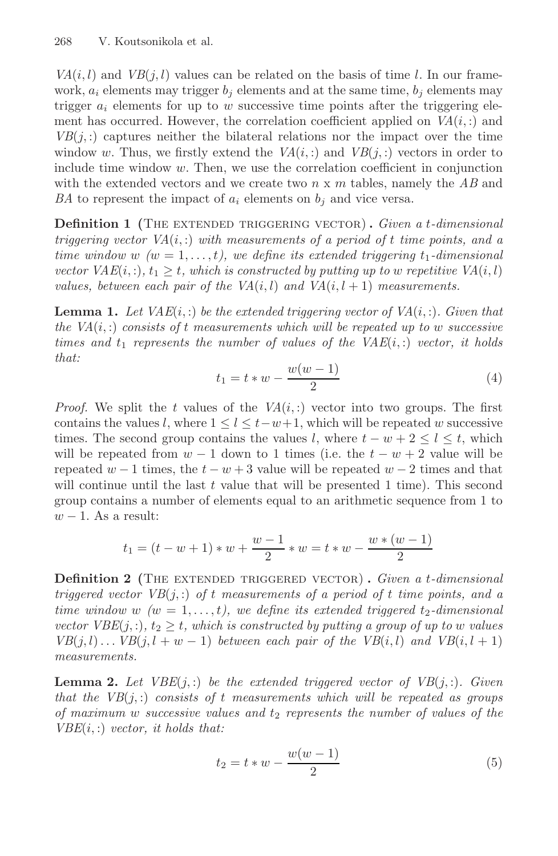$VA(i, l)$  and  $VB(j, l)$  values can be related on the basis of time l. In our framework,  $a_i$  elements may trigger  $b_i$  elements and at the same time,  $b_i$  elements may trigger  $a_i$  elements for up to w successive time points after the triggering element has occurred. However, the correlation coefficient applied on  $VA(i,:)$  and  $VB(j,:)$  captures neither the bilateral relations nor the impact over the time window w. Thus, we firstly extend the  $VA(i,.)$  and  $VB(j,:)$  vectors in order to include time window  $w$ . Then, we use the correlation coefficient in conjunction with the extended vectors and we create two  $n \times m$  tables, namely the AB and BA to represent the impact of  $a_i$  elements on  $b_i$  and vice versa.

**Definition 1** (THE EXTENDED TRIGGERING VECTOR). Given a t-dimensional triggering vector  $VA(i,:)$  with measurements of a period of t time points, and a time window w  $(w = 1, \ldots, t)$ , we define its extended triggering  $t_1$ -dimensional vector  $VAE(i,:), t_1 \geq t$ , which is constructed by putting up to w repetitive  $VA(i, l)$ values, between each pair of the  $VA(i, l)$  and  $VA(i, l + 1)$  measurements.

**Lemma 1.** Let  $VAE(i,:)$  be the extended triggering vector of  $VA(i,:)$ . Given that the  $VA(i,:)$  consists of t measurements which will be repeated up to w successive times and  $t_1$  represents the number of values of the VAE(i,:) vector, it holds that:

$$
t_1 = t * w - \frac{w(w-1)}{2} \tag{4}
$$

*Proof.* We split the t values of the  $VA(i,:)$  vector into two groups. The first contains the values l, where  $1 \leq l \leq t-w+1$ , which will be repeated w successive times. The second group contains the values l, where  $t - w + 2 \leq l \leq t$ , which will be repeated from  $w - 1$  down to 1 times (i.e. the  $t - w + 2$  value will be repeated  $w-1$  times, the  $t-w+3$  value will be repeated  $w-2$  times and that will continue until the last  $t$  value that will be presented 1 time). This second group contains a number of elements equal to an arithmetic sequence from 1 to  $w - 1$ . As a result:

$$
t_1 = (t - w + 1) * w + \frac{w - 1}{2} * w = t * w - \frac{w * (w - 1)}{2}
$$

**Definition 2** (THE EXTENDED TRIGGERED VECTOR). Given a t-dimensional triggered vector  $VB(j,:)$  of t measurements of a period of t time points, and a time window w  $(w = 1, \ldots, t)$ , we define its extended triggered  $t_2$ -dimensional vector  $VBE(j,:), t_2 \geq t$ , which is constructed by putting a group of up to w values  $VB(j, l) \ldots VB(j, l + w - 1)$  between each pair of the  $VB(i, l)$  and  $VB(i, l + 1)$ measurements.

**Lemma 2.** Let  $VBE(j,:)$  be the extended triggered vector of  $VB(j,:)$ . Given that the  $VB(j,:)$  consists of t measurements which will be repeated as groups of maximum w successive values and  $t_2$  represents the number of values of the  $VBE(i,:)$  vector, it holds that:

$$
t_2 = t * w - \frac{w(w-1)}{2} \tag{5}
$$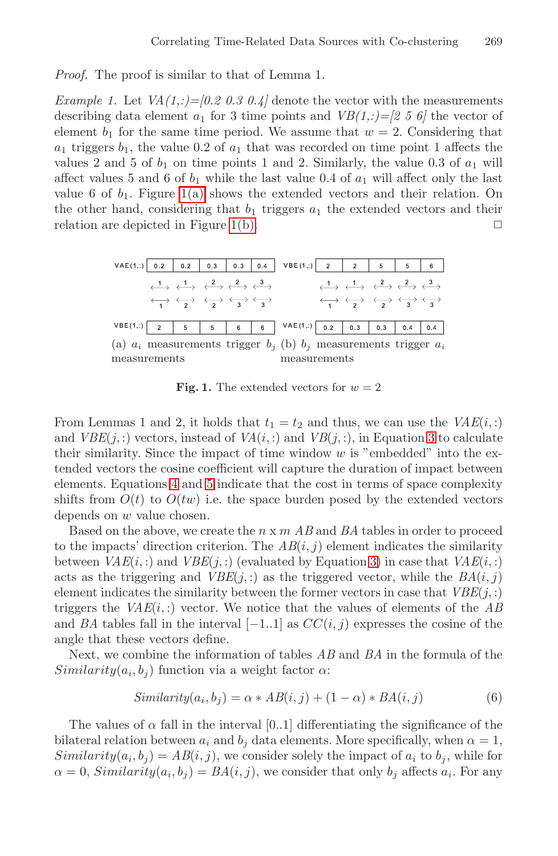Pr[oof.](#page-5-0) The proof is similar to that of Lemma 1.

<span id="page-5-0"></span>Example 1. [Let](#page-5-1)  $VA(1,:) = [0.2 \ 0.3 \ 0.4]$  denote the vector with the measurements describing data element  $a_1$  for 3 time points and  $VB(1,.)=[2 5 6]$  the vector of element  $b_1$  for the same time period. We assume that  $w = 2$ . Considering that  $a_1$  triggers  $b_1$ , the value 0.2 of  $a_1$  that was recorded on time point 1 affects the values 2 and 5 of  $b_1$  on time points 1 and 2. Similarly, the value 0.3 of  $a_1$  will affect values 5 and 6 of  $b_1$  while the last value 0.4 of  $a_1$  will affect only the last value 6 of  $b_1$ . Figure 1(a) shows the extended vectors and their relation. On the other hand, considering that  $b_1$  triggers  $a_1$  the extended vectors and their relation are depicted in Figure 1(b).  $\Box$ 

<span id="page-5-1"></span>

**Fig. 1.** The extended vectors for  $w = 2$ 

From Lemmas 1 and 2, it holds that  $t_1 = t_2$  and thus, we can use the  $VAE(i,:)$ and  $VBE(j,:)$  vectors, instead of  $VA(i,:)$  $VA(i,:)$  $VA(i,:)$  and  $VB(j,:)$ , in Equation 3 to calculate their similarity. Since the impact of time window  $w$  is "embedded" into the extended vectors the cosine coefficient will capture the duration of impact between elements. Equations 4 and 5 indicate that the cost in terms of space complexity shifts from  $O(t)$  to  $O(tw)$  i.e. the space burden posed by the extended vectors depends on  $w$  value chosen.

<span id="page-5-2"></span>Based on the above, we create the  $n \times m$  AB and BA tables in order to proceed to the impacts' direction criterion. The  $AB(i, j)$  element indicates the similarity between  $VAE(i,:)$  and  $VBE(j,:)$  (evaluated by Equation 3) in case that  $VAE(i,:)$ acts as the triggering and  $VBE(j,:)$  as the triggered vector, while the  $BA(i,j)$ element indicates the similarity between the former vectors in case that  $VBE(j,:)$ triggers the  $VAE(i,.)$  vector. We notice that the values of elements of the AB and BA tables fall in the interval  $[-1, 1]$  as  $CC(i, j)$  expresses the cosine of the angle that these vectors define.

Next, we combine the information of tables  $AB$  and  $BA$  in the formula of the  $Similarity(a_i, b_i)$  function via a weight factor  $\alpha$ :

$$
Similarity(a_i, b_j) = \alpha * AB(i, j) + (1 - \alpha) * BA(i, j)
$$
\n(6)

The values of  $\alpha$  fall in the interval [0..1] differentiating the significance of the bilateral relation between  $a_i$  and  $b_j$  data elements. More specifically, when  $\alpha = 1$ , Similarity $(a_i, b_j) = AB(i, j)$ , we consider solely the impact of  $a_i$  to  $b_j$ , while for  $\alpha = 0$ , Similarity $(a_i, b_j) = BA(i, j)$ , we consider that only  $b_j$  affects  $a_i$ . For any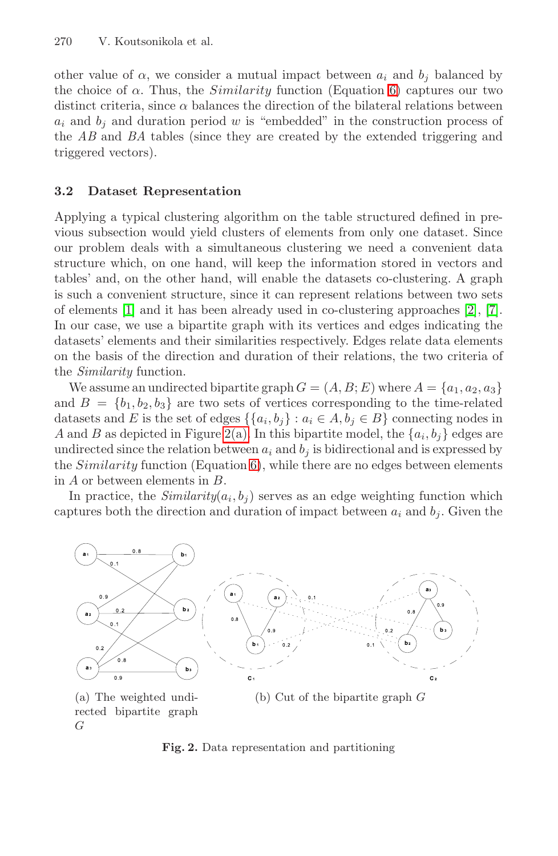other value of  $\alpha$ , we consider a mutual impact between  $a_i$  and  $b_j$  balanced by the choice of  $\alpha$ . Thus, the *Similarity* function (Equation 6) captures our two distinct criteria, since  $\alpha$  balances the direction of the bilateral relations between  $a_i$  and  $b_j$  and duration period w is "embedded" in the construction process of the AB and BA tables (since they are created by the extended triggering and triggered vectors).

#### **3.2 Dataset Representation**

Applying a typical clustering algorithm on the table structured defined in previous subsection would yield clusters of elements from only one dataset. Since our problem deals with a simultaneous clustering we need a convenient data structure which, on one hand, will keep the information stored in vectors and tables' and, on the other hand, will enable the datasets co-clustering. A graph is such a convenient structure, since it can represent relations between two sets of element[s \[1\] a](#page-6-0)nd it has been already used in co-clustering approaches [2], [7]. In our case, we use a bipartite graph with its vertices and edges indicating the datasets' eleme[nt](#page-5-2)s and their similarities respectively. Edges relate data elements on the basis of the direction and duration of their relations, the two criteria of the Similarity function.

<span id="page-6-0"></span>We assume an undirected bipartite graph  $G = (A, B; E)$  where  $A = \{a_1, a_2, a_3\}$ and  $B = \{b_1, b_2, b_3\}$  are two sets of vertices corresponding to the time-related datasets and E is the set of edges  $\{\{a_i, b_j\} : a_i \in A, b_i \in B\}$  connecting nodes in A and B as depicted in Figure 2(a). In this bipartite model, the  $\{a_i, b_j\}$  edges are undirected since the relation between  $a_i$  and  $b_j$  is bidirectional and is expressed by the *Similarity* function (Equation 6), while there are no edges between elements in A or between elements in B.

In practice, the  $Similarity(a_i, b_i)$  serves as an edge weighting function which captures both the direction and duration of impact between  $a_i$  and  $b_j$ . Given the

<span id="page-6-1"></span>

rected bipartite graph G

**Fig. 2.** Data representation and partitioning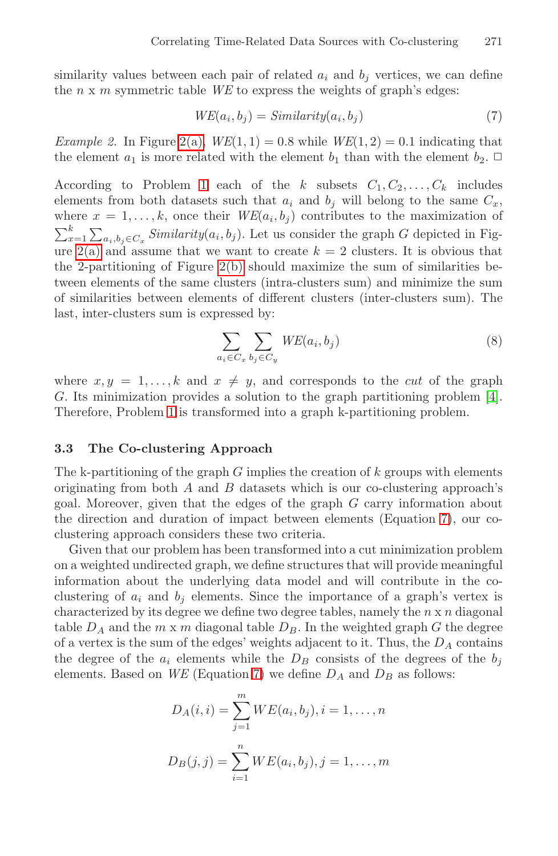similar[it](#page-3-1)y values between each pair of related  $a_i$  and  $b_j$  vertices, we can define the  $n \times m$  symmetric table WE to express the weights of graph's edges:

<span id="page-7-0"></span>
$$
WE(a_i, b_j) = Similarity(a_i, b_j)
$$
\n
$$
(7)
$$

*Example 2.* [In](#page-6-1) Figure 2(a),  $WE(1, 1) = 0.8$  while  $WE(1, 2) = 0.1$  indicating that the element  $a_1$  is more related with the element  $b_1$  than with the element  $b_2$ .  $\Box$ 

<span id="page-7-1"></span>According to Problem 1 each of the k subsets  $C_1, C_2, \ldots, C_k$  includes elements from both datasets such that  $a_i$  and  $b_j$  will belong to the same  $C_x$ , where  $x = 1, ..., k$ , once their  $WE(a_i, b_j)$  contributes to the maximization of  $\sum_{x=1}^{k} \sum_{a_i, b_j \in C_x} Similarity(a_i, b_j)$ . Let us consider the graph G depicted in Figure 2(a) and assume that we want to create  $k = 2$  clusters. It is obvious that the 2-partitioning of Figure  $2(b)$  should maximize the sum of similarities between elements of the same clusters (intra-clusters sum) [an](#page-14-6)d minimize the sum [of](#page-3-1) similarities between elements of different clusters (inter-clusters sum). The last, inter-clusters sum is expressed by:

$$
\sum_{a_i \in C_x} \sum_{b_j \in C_y} WE(a_i, b_j) \tag{8}
$$

where  $x, y = 1, \ldots, k$  and  $x \neq y$ , and corresponds to the *cut* of the graph G. Its minimization provides a solution to the g[ra](#page-7-0)ph partitioning problem [4]. Therefore, Problem 1 is transformed into a graph k-partitioning problem.

#### **3.3 The Co-clustering Approach**

The k-partitioning of the graph  $G$  implies the creation of  $k$  groups with elements originating from both  $A$  and  $B$  datasets which is our co-clustering approach's goal. Moreover, given that the edges of the graph G carry information about the direction and duration of impact between elements (Equation 7), our coclustering approach considers these two criteria.

Given that o[ur p](#page-7-0)roblem has been transformed into a cut minimization problem on a weighted undirected graph, we define structures that will provide meaningful information about the underlying data model and will contribute in the coclustering of  $a_i$  and  $b_j$  elements. Since the importance of a graph's vertex is characterized by its degree we define two degree tables, namely the  $n \times n$  diagonal table  $D_A$  and the m x m diagonal table  $D_B$ . In the weighted graph G the degree of a vertex is the sum of the edges' weights adjacent to it. Thus, the  $D_A$  contains the degree of the  $a_i$  elements while the  $D_B$  consists of the degrees of the  $b_i$ elements. Based on WE (Equation 7) we define  $D_A$  and  $D_B$  as follows:

$$
D_A(i, i) = \sum_{j=1}^{m} WE(a_i, b_j), i = 1, ..., n
$$
  

$$
D_B(j, j) = \sum_{i=1}^{n} WE(a_i, b_j), j = 1, ..., m
$$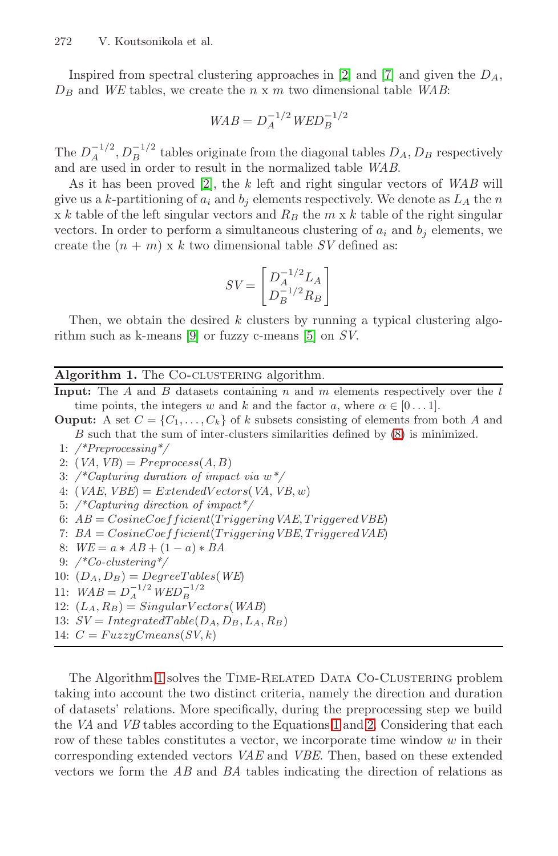Insp[ire](#page-14-2)d from spectral clustering approaches in [2] and [7] and given the  $D_A$ ,  $D_B$  and WE tables, we create the n x m two dimensional table WAB:

$$
WAB = D_A^{-1/2} WED_B^{-1/2}
$$

The  $D_A^{-1/2}, D_B^{-1/2}$  tables originate from the diagonal tables  $D_A, D_B$  respectively and are used in order to result in the normalized table WAB.

As it has been proved  $[2]$ , the k left and right singular vectors of  $WAB$  will give us a k-partitioning of  $a_i$  and  $b_j$  elements respectively. We denote as  $L_A$  the n x k t[ab](#page-14-7)le of the left singul[ar](#page-14-8) vectors and  $R_B$  the m x k table of the right singular vectors. In order to perform a simultaneous clustering of  $a_i$  and  $b_j$  elements, we create the  $(n + m)$  x k two dimensional table SV defined as:

$$
SV = \begin{bmatrix} D_A^{-1/2} L_A \\ D_B^{-1/2} R_B \end{bmatrix}
$$

Then, we obtain the de[s](#page-7-1)ired  $k$  clusters [b](#page-7-1)y running a typical clustering algorithm such as k-means [9] or fuzzy c-means [5] on SV.

#### Algorithm 1. The Co-CLUSTERING algorithm.

**Input:** The A and B datasets containing n and m elements respectively over the t time points, the integers w and k and the factor a, where  $\alpha \in [0 \dots 1]$ .

**Ouput:** A set  $C = \{C_1, \ldots, C_k\}$  of k subsets consisting of elements from both A and B such that the sum of inter-clusters similarities defined by (8) is minimized.

- 1: /\*Preprocessing\*/
- 2:  $(VA, VB) = Preprocess(A, B)$
- 3: /\*Capturing duration of impact via  $w^*/$
- 4:  $(VAE, VBE) = ExtendedVectors(VA, VB, w)$
- 5: /\*Capturing direction of impact\*/
- 6:  $AB = CosineCoefficient(Triggering VAE, Triggered VBE)$
- 7:  $BA = CosineCoefficient(Triggering VBE, Triggered VAE)$
- 8:  $WE = a * AB + (1 a) * BA$
- 9: /\*Co-clustering\*/
- 10:  $(D_A, D_B) = DegreeTables(WE)$
- 11:  $WAB = D_A^{-1/2} WED_B^{-1/2}$
- 12:  $(L_A, R_B) =$  $(L_A, R_B) =$  $(L_A, R_B) =$  $(L_A, R_B) =$  SingularV ectors(WAB)
- 13:  $SV = IntegratedTable(D_A, D_B, L_A, R_B)$
- 14:  $C = FuzzyCmeans(SV, k)$

The Algorithm 1 solves the TIME-RELATED DATA CO-CLUSTERING problem taking into account the two distinct criteria, namely the direction and duration of datasets' relations. More specifically, during the preprocessing step we build the VA and VB tables according to the Equations 1 and 2. Considering that each row of these tables constitutes a vector, we incorporate time window w in their corresponding extended vectors VAE and VBE. Then, based on these extended vectors we form the AB and BA tables indicating the direction of relations as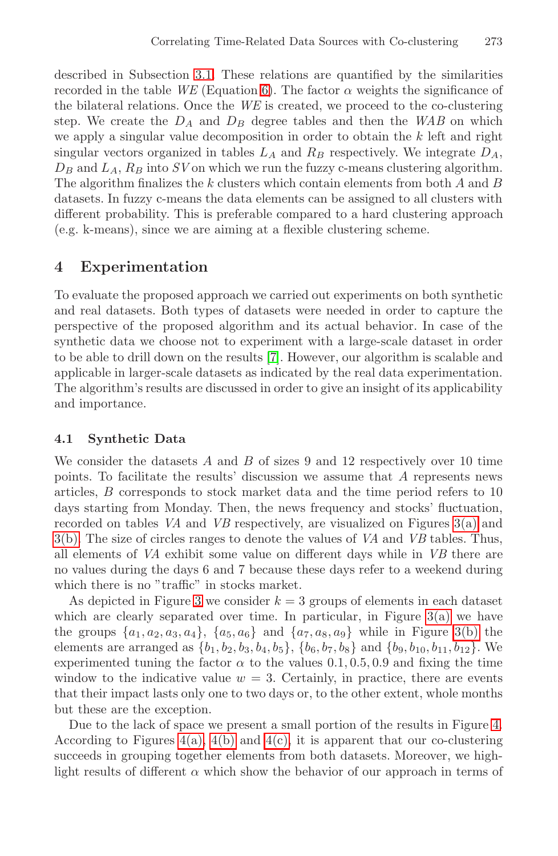<span id="page-9-0"></span>described in Subsection 3.1. These relations are quantified by the similarities recorded in the table WE (Equation 6). The factor  $\alpha$  weights the significance of the bilateral relations. Once the WE is created, we proceed to the co-clustering step. We create the  $D_A$  and  $D_B$  degree tables and then the WAB on which we apply a singular value decomposition in order to obtain the  $k$  left and right singular vectors organized in tables  $L_A$  and  $R_B$  respectively. We integrate  $D_A$ ,  $D_B$  and  $L_A$ ,  $R_B$  into SV on which we run the fuzzy c-means clustering algorithm. The algorithm finalizes the  $k$  clusters which contain elements from both  $A$  and  $B$ datasets. In fuzzy c-means the data elements can be assigned to all clusters with different probability. This is preferable compared to a hard clustering approach (e.g. k-means), sin[ce](#page-14-4) we are aiming at a flexible clustering scheme.

## **4 Experimentation**

To evaluate the proposed approach we carried out experiments on both synthetic and real datasets. Both types of datasets were needed in order to capture the perspective of the proposed algorithm and its actual behavior. In case of the synthetic data we choose not to experiment with a large-scale dataset in order to be able to drill down on the results [7]. However, our algorithm is scalable and applicable in larger-scale datasets as indicated by the real data experimentation. The algorithm's results are discussed in order to give an insight of its applicability and importance.

#### **4.1 Synthetic Data**

We consider the datasets  $A$  and  $B$  of sizes 9 and 12 respectively over 10 time point[s.](#page-10-0) To facilitate the results' discussion we assume that A represents news articles, B corresponds to stock market data [and t](#page-10-1)he time period refers to 10 days starting from Monday. Then, the news freque[ncy a](#page-10-2)nd stocks' fluctuation, recorded on tables VA and VB respectively, are visualized on Figures 3(a) and 3(b). The size of circles ranges to denote the values of VA and VB tables. Thus, all elements of VA exhibit some value on different days while in VB there are no values during the days 6 and 7 because these days refer to a weekend during which there is no "traffic" in stocks market.

As depicted in Figure 3 we consider  $k = 3$  groups of ele[me](#page-10-3)nts in each dataset w[hich a](#page-10-4)[re cle](#page-10-5)arly [sepa](#page-10-6)rated over time. In particular, in Figure  $3(a)$  we have the groups  $\{a_1, a_2, a_3, a_4\}$ ,  $\{a_5, a_6\}$  and  $\{a_7, a_8, a_9\}$  while in Figure 3(b) the elements are arranged as  $\{b_1, b_2, b_3, b_4, b_5\}$ ,  $\{b_6, b_7, b_8\}$  and  $\{b_9, b_{10}, b_{11}, b_{12}\}$ . We experimented tuning the factor  $\alpha$  to the values 0.1, 0.5, 0.9 and fixing the time window to the indicative value  $w = 3$ . Certainly, in practice, there are events that their impact lasts only one to two days or, to the other extent, whole months but these are the exception.

Due to the lack of space we present a small portion of the results in Figure 4. According to Figures  $4(a)$ ,  $4(b)$  and  $4(c)$ , it is apparent that our co-clustering succeeds in grouping together elements from both datasets. Moreover, we highlight results of different  $\alpha$  which show the behavior of our approach in terms of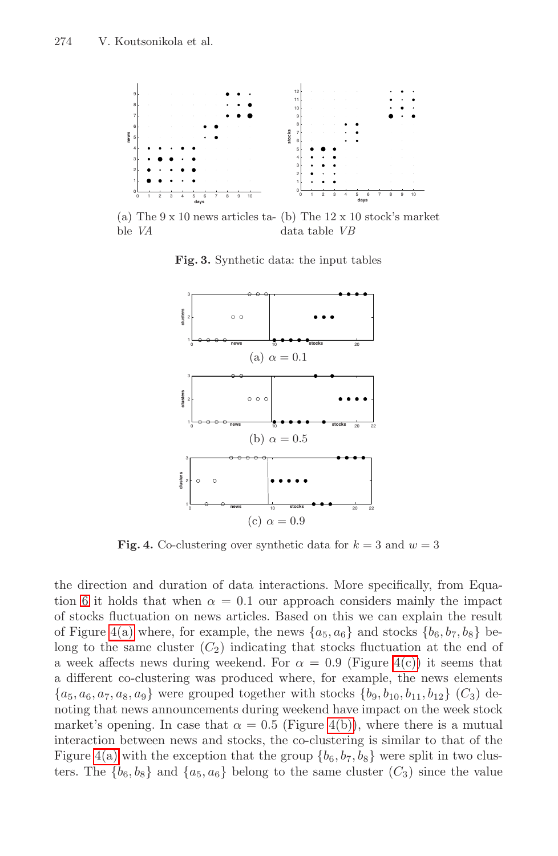<span id="page-10-2"></span><span id="page-10-1"></span><span id="page-10-0"></span>

<span id="page-10-5"></span><span id="page-10-4"></span>(a) The 9 x 10 news articles ta-(b) The 12 x 10 stock's market ble VA data table VB

**Fig. 3.** Synthetic data: the input tables

<span id="page-10-3"></span>

**Fig. 4.** Co-clustering over synth[etic d](#page-10-6)ata for  $k = 3$  and  $w = 3$ 

<span id="page-10-6"></span>the direction and duration of data interactions. More specifically, from Equation 6 it holds that when  $\alpha = 0.1$  $\alpha = 0.1$  $\alpha = 0.1$  our approach considers mainly the impact of stocks fluctuation on news articles. Based on this we can explain the result of Figure 4(a) where, for example, the news  $\{a_5, a_6\}$  and stocks  $\{b_6, b_7, b_8\}$  belong to the same cluster  $(C_2)$  indicating that stocks fluctuation at the end of a week affects news during weekend. For  $\alpha = 0.9$  (Figure 4(c)) it seems that a different co-clustering was produced where, for example, the news elements  ${a_5, a_6, a_7, a_8, a_9}$  were grouped together with stocks  ${b_9, b_{10}, b_{11}, b_{12}}$  (C<sub>3</sub>) denoting that news announcements during weekend have impact on the week stock market's opening. In case that  $\alpha = 0.5$  (Figure 4(b)), where there is a mutual interaction between news and stocks, the co-clustering is similar to that of the Figure 4(a) with the exception that the group  ${b_6, b_7, b_8}$  were split in two clusters. The  ${b_6, b_8}$  and  ${a_5, a_6}$  belong to the same cluster  $(C_3)$  since the value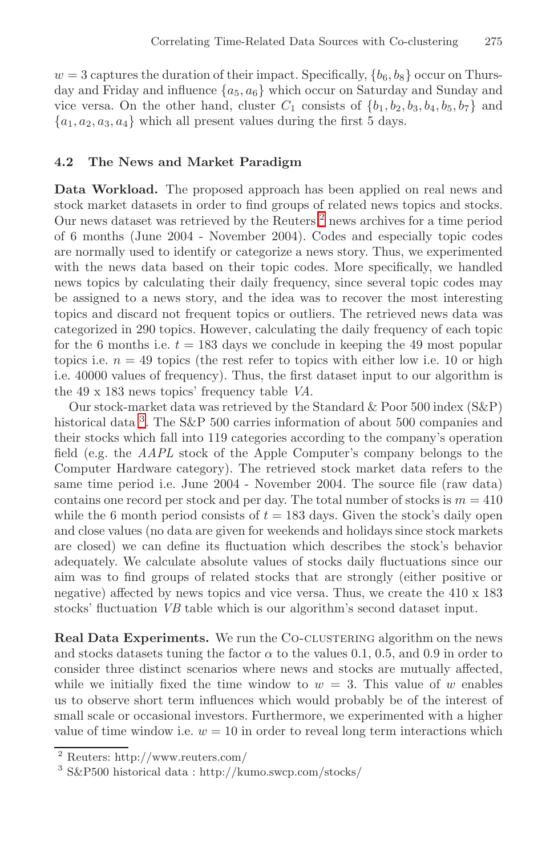$w = 3$  captures the duration of their impact. Specifically,  ${b_6, b_8}$  occur on Thursday and Friday and influence  $\{a_5, a_6\}$  which occur on Saturday and Sunday and vice versa. On the other h[an](#page-11-0)d, cluster  $C_1$  consists of  ${b_1, b_2, b_3, b_4, b_5, b_7}$  and  ${a_1, a_2, a_3, a_4}$  which all present values during the first 5 days.

#### **4.2 The News and Market Paradigm**

**Data Workload.** The proposed approach has been applied on real news and stock market datasets in order to find groups of related news topics and stocks. Our news dataset was retrieved by the Reuters  $2$  news archives for a time period of 6 months (June 2004 - November 2004). Codes and especially topic codes are normally used to identify or categorize a news story. Thus, we experimented with the news data based on their topic codes. More specifically, we handled news topics by calculating their daily frequency, since several topic codes may be assigned to a news story, and the idea was to recover the most interesting topics and discard not frequent topics or outliers. The retrieved news data was categorized in 290 topics. However, calculating the daily frequency of each topic for the 6 months i.e.  $t = 183$  days we conclude in keeping the 49 most popular topics i.e.  $n = 49$  topics (the rest refer to topics with either low i.e. 10 or high i.e. 40000 values of frequency). Thus, the first dataset input to our algorithm is the 49 x 183 news topics' frequency table VA.

Our stock-market data was retrieved by the Standard & Poor 500 index (S&P) historical data <sup>3</sup>. The S&P 500 carries information of about 500 companies and their stocks which fall into 119 categories according to the company's operation field (e.g. the AAPL stock of the Apple Computer's company belongs to the Computer Hardware category). The retrieved stock market data refers to the same time period i.e. June 2004 - November 2004. The source file (raw data) contains one record per stock and per day. The total number of stocks is  $m = 410$ while the 6 month period consists of  $t = 183$  days. Given the stock's daily open and close values (no data are given for weekends and holidays since stock markets are closed) we can define its fluctuation which describes the stock's behavior adequately. We calculate absolute values of stocks daily fluctuations since our aim was to find groups of related stocks that are strongly (either positive or negative) affected by news topics and vice versa. Thus, we create the 410 x 183 stocks' fluctuation VB table which is our algorithm's second dataset input.

<span id="page-11-0"></span>**Real Data Experiments.** We run the CO-CLUSTERING algorithm on the news and stocks datasets tuning the factor  $\alpha$  to the values 0.1, 0.5, and 0.9 in order to consider three distinct scenarios where news and stocks are mutually affected, while we initially fixed the time window to  $w = 3$ . This value of w enables us to observe short term influences which would probably be of the interest of small scale or occasional investors. Furthermore, we experimented with a higher value of time window i.e.  $w = 10$  in order to reveal long term interactions which

<sup>2</sup> Reuters: http://www.reuters.com/

<sup>3</sup> S&P500 historical data : http://kumo.swcp.com/stocks/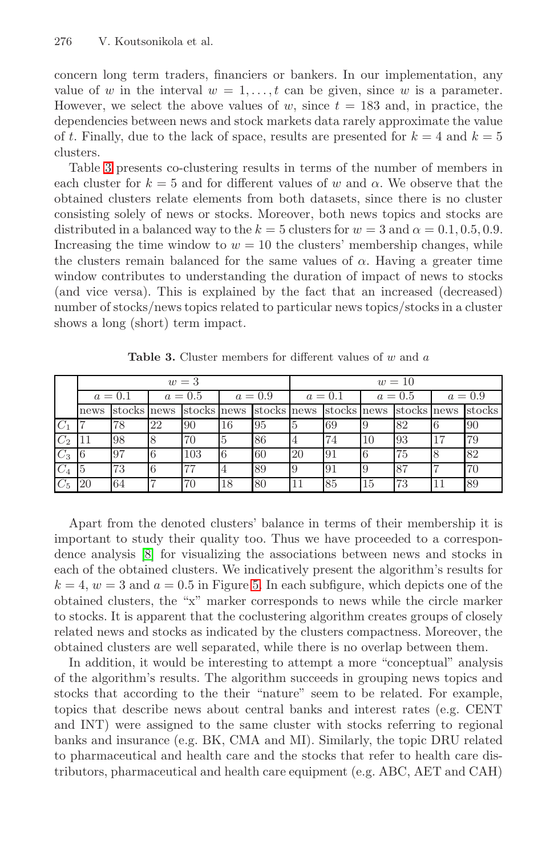concern long term traders, financiers or bankers. In our implementation, any value of w in the interval  $w = 1, \ldots, t$  can be given, since w is a parameter. However, we select the above values of w, since  $t = 183$  and, in practice, the dependencies between news and stock markets data rarely approximate the value of t. Finally, due to the lack of space, results are presented for  $k = 4$  and  $k = 5$ clusters.

Table 3 presents co-clustering results in terms of the number of members in each cluster for  $k = 5$  and for different values of w and  $\alpha$ . We observe that the obtained clusters relate elements from both datasets, since there is no cluster consisting solely of news or stocks. Moreover, both news topics and stocks are distributed in a balanced way to the  $k = 5$  clusters for  $w = 3$  and  $\alpha = 0.1, 0.5, 0.9$ . Increasing the time window to  $w = 10$  the clusters' membership changes, while the clusters remain balanced for the same values of  $\alpha$ . Having a greater time window contributes to understanding the duration of impact of news to stocks (and vice versa). This is explained by the fact that an increased (decreased) number of stocks/news topics related to particular news topics/stocks in a cluster shows a long (short) term impact.

|       | $w=3$     |    |           |                         |                | $w=10$      |                |             |           |             |           |        |
|-------|-----------|----|-----------|-------------------------|----------------|-------------|----------------|-------------|-----------|-------------|-----------|--------|
|       | $a = 0.1$ |    | $a = 0.5$ |                         | $a = 0.9$      |             | $a = 0.1$      |             | $a = 0.5$ |             | $a = 0.9$ |        |
|       | news      |    |           | stocks news stocks news |                | stocks news |                | stocks news |           | stocks news |           | stocks |
| $C_1$ |           | 78 | 22        | -90                     | 16             | 95          | $\overline{5}$ | 69          |           | 82          |           | 90     |
| $C_2$ |           | 98 |           | 70                      | $\overline{5}$ | 86          | 4              | 74          | 10        | 93          | 17        | 79     |
| $C_3$ | -6        | 97 | 6         | 103                     | 6              | 60          | 20             | 91          | 6         | 75          |           | 82     |
| $C_4$ | 5         | 73 | 6         | 77                      | $\overline{4}$ | 89          | 9              | 91          |           | 87          |           | 70     |
| $C_5$ | 20        | 64 |           | 70                      | 18             | 80          | 11             | 85          | 15        | 73          | 11        | 89     |

Table 3. Cluster members for different values of w and a

Apart from the denoted clusters' balance in terms of their membership it is important to study their quality too. Thus we have proceeded to a correspondence analysis [8] for visualizing the associations between news and stocks in each of the obtained clusters. We indicatively present the algorithm's results for  $k = 4$ ,  $w = 3$  and  $a = 0.5$  in Figure 5. In each subfigure, which depicts one of the obtained clusters, the "x" marker corresponds to news while the circle marker to stocks. It is apparent that the coclustering algorithm creates groups of closely related news and stocks as indicated by the clusters compactness. Moreover, the obtained clusters are well separated, while there is no overlap between them.

In addition, it would be interesting to attempt a more "conceptual" analysis of the algorithm's results. The algorithm succeeds in grouping news topics and stocks that according to the their "nature" seem to be related. For example, topics that describe news about central banks and interest rates (e.g. CENT and INT) were assigned to the same cluster with stocks referring to regional banks and insurance (e.g. BK, CMA and MI). Similarly, the topic DRU related to pharmaceutical and health care and the stocks that refer to health care distributors, pharmaceutical and health care equipment (e.g. ABC, AET and CAH)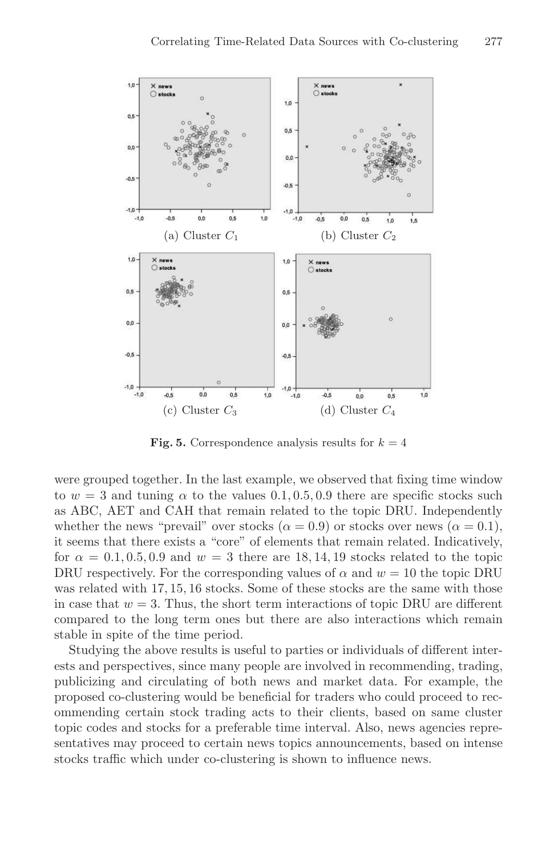

<span id="page-13-0"></span>**Fig. 5.** Correspondence analysis results for  $k = 4$ 

were grouped together. In the last example, we observed that fixing time window to  $w = 3$  and tuning  $\alpha$  to the values 0.1, 0.5, 0.9 there are specific stocks such as ABC, AET and CAH that remain related to the topic DRU. Independently whether the news "prevail" over stocks ( $\alpha = 0.9$ ) or stocks over news ( $\alpha = 0.1$ ), it seems that there exists a "core" of elements that remain related. Indicatively, for  $\alpha = 0.1, 0.5, 0.9$  and  $w = 3$  there are 18, 14, 19 stocks related to the topic DRU respectively. For the corresponding values of  $\alpha$  and  $w = 10$  the topic DRU was related with 17, 15, 16 stocks. Some of these stocks are the same with those in case that  $w = 3$ . Thus, the short term interactions of topic DRU are different compared to the long term ones but there are also interactions which remain stable in spite of the time period.

Studying the above results is useful to parties or individuals of different interests and perspectives, since many people are involved in recommending, trading, publicizing and circulating of both news and market data. For example, the proposed co-clustering would be beneficial for traders who could proceed to recommending certain stock trading acts to their clients, based on same cluster topic codes and stocks for a preferable time interval. Also, news agencies representatives may proceed to certain news topics announcements, based on intense stocks traffic which under co-clustering is shown to influence news.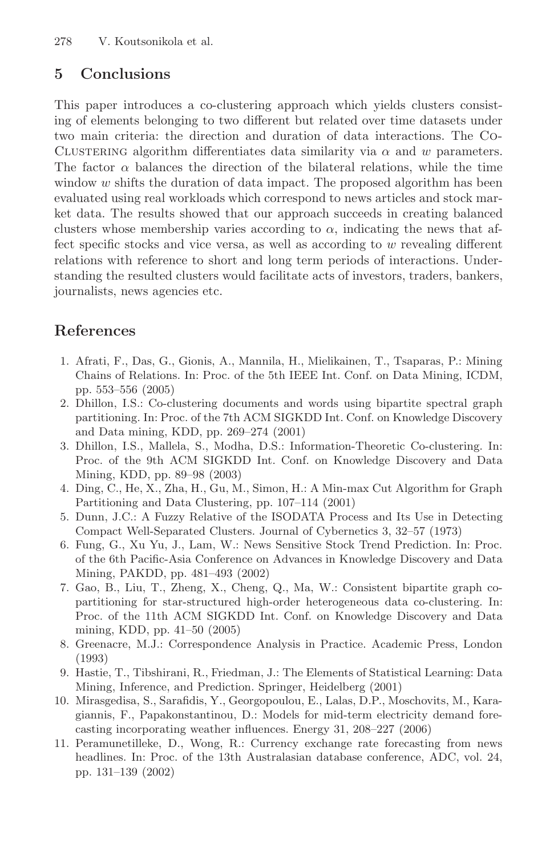# <span id="page-14-5"></span>**5 Conclusions**

This paper introduces a co-clustering approach which yields clusters consisting of elements belonging to two different but related over time datasets under two main criteria: the direction and duration of data interactions. The Co-CLUSTERING algorithm differentiates data similarity via  $\alpha$  and w parameters. The factor  $\alpha$  balances the direction of the bilateral relations, while the time window  $w$  shifts the duration of data impact. The proposed algorithm has been evaluated using real workloads which correspond to news articles and stock market data. The results showed that our approach succeeds in creating balanced clusters whose membership varies according to  $\alpha$ , indicating the news that affect specific stocks and vice versa, as well as according to  $w$  revealing different relations with reference to short and long term periods of interactions. Understanding the resulted clusters would facilitate acts of investors, traders, bankers, journalists, news agencies etc.

# **References**

- 1. Afrati, F., Das, G., Gionis, A., Mannila, H., Mielikainen, T., Tsaparas, P.: Mining Chains of Relations. In: Proc. of the 5th IEEE Int. Conf. on Data Mining, ICDM, pp. 553–556 (2005)
- <span id="page-14-2"></span>2. Dhillon, I.S.: Co-clustering documents and words using bipartite spectral graph partitioning. In: Proc. of the 7th ACM SIGKDD Int. Conf. on Knowledge Discovery and Data mining, KDD, pp. 269–274 (2001)
- <span id="page-14-3"></span>3. Dhillon, I.S., Mallela, S., Modha, D.S.: Information-Theoretic Co-clustering. In: Proc. of the 9th ACM SIGKDD Int. Conf. on Knowledge Discovery and Data Mining, KDD, pp. 89–98 (2003)
- <span id="page-14-6"></span>4. Ding, C., He, X., Zha, H., Gu, M., Simon, H.: A Min-max Cut Algorithm for Graph Partitioning and Data Clustering, pp. 107–114 (2001)
- <span id="page-14-8"></span>5. Dunn, J.C.: A Fuzzy Relative of the ISODATA Process and Its Use in Detecting Compact Well-Separated Clusters. Journal of Cybernetics 3, 32–57 (1973)
- <span id="page-14-0"></span>6. Fung, G., Xu Yu, J., Lam, W.: News Sensitive Stock Trend Prediction. In: Proc. of the 6th Pacific-Asia Conference on Advances in Knowledge Discovery and Data Mining, PAKDD, pp. 481–493 (2002)
- <span id="page-14-4"></span>7. Gao, B., Liu, T., Zheng, X., Cheng, Q., Ma, W.: Consistent bipartite graph copartitioning for star-structured high-order heterogeneous data co-clustering. In: Proc. of the 11th ACM SIGKDD Int. Conf. on Knowledge Discovery and Data mining, KDD, pp. 41–50 (2005)
- 8. Greenacre, M.J.: Correspondence Analysis in Practice. Academic Press, London (1993)
- <span id="page-14-7"></span>9. Hastie, T., Tibshirani, R., Friedman, J.: The Elements of Statistical Learning: Data Mining, Inference, and Prediction. Springer, Heidelberg (2001)
- 10. Mirasgedisa, S., Sarafidis, Y., Georgopoulou, E., Lalas, D.P., Moschovits, M., Karagiannis, F., Papakonstantinou, D.: Models for mid-term electricity demand forecasting incorporating weather influences. Energy 31, 208–227 (2006)
- <span id="page-14-1"></span>11. Peramunetilleke, D., Wong, R.: Currency exchange rate forecasting from news headlines. In: Proc. of the 13th Australasian database conference, ADC, vol. 24, pp. 131–139 (2002)